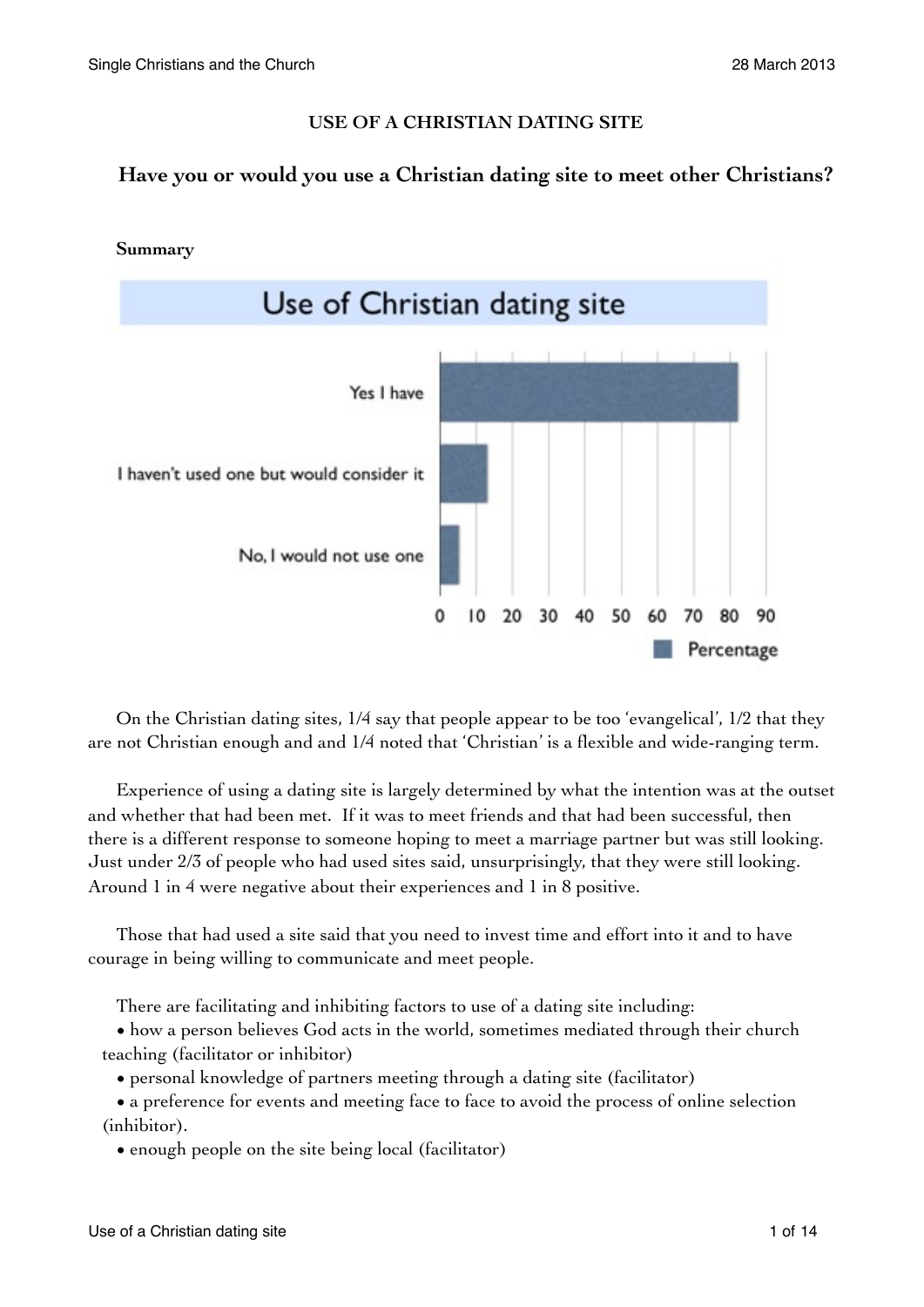## **USE OF A CHRISTIAN DATING SITE**

# **Have you or would you use a Christian dating site to meet other Christians?**



On the Christian dating sites, 1/4 say that people appear to be too 'evangelical', 1/2 that they are not Christian enough and and 1/4 noted that 'Christian' is a flexible and wide-ranging term.

Experience of using a dating site is largely determined by what the intention was at the outset and whether that had been met. If it was to meet friends and that had been successful, then there is a different response to someone hoping to meet a marriage partner but was still looking. Just under 2/3 of people who had used sites said, unsurprisingly, that they were still looking. Around 1 in 4 were negative about their experiences and 1 in 8 positive.

Those that had used a site said that you need to invest time and effort into it and to have courage in being willing to communicate and meet people.

There are facilitating and inhibiting factors to use of a dating site including:

• how a person believes God acts in the world, sometimes mediated through their church teaching (facilitator or inhibitor)

• personal knowledge of partners meeting through a dating site (facilitator)

• a preference for events and meeting face to face to avoid the process of online selection (inhibitor).

• enough people on the site being local (facilitator)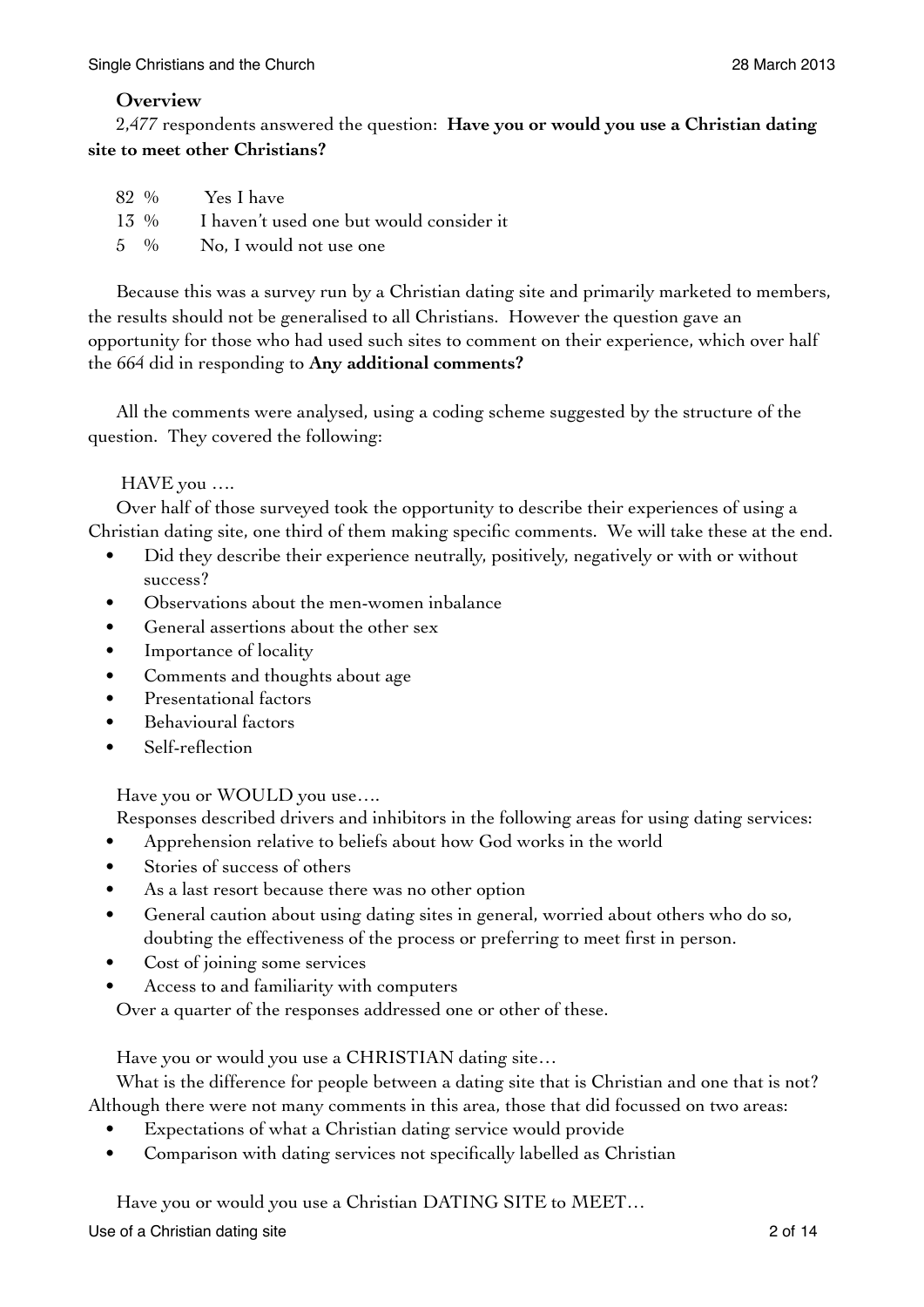## **Overview**

2,477 respondents answered the question: **Have you or would you use a Christian dating site to meet other Christians?**

|  | 82 % Yes I have                               |
|--|-----------------------------------------------|
|  | 13 % I haven't used one but would consider it |
|  | 5 % No, I would not use one                   |

Because this was a survey run by a Christian dating site and primarily marketed to members, the results should not be generalised to all Christians. However the question gave an opportunity for those who had used such sites to comment on their experience, which over half the 664 did in responding to **Any additional comments?**

All the comments were analysed, using a coding scheme suggested by the structure of the question. They covered the following:

HAVE you ….

Over half of those surveyed took the opportunity to describe their experiences of using a Christian dating site, one third of them making specific comments. We will take these at the end.

- Did they describe their experience neutrally, positively, negatively or with or without success?
- Observations about the men-women inbalance
- General assertions about the other sex
- Importance of locality
- Comments and thoughts about age
- Presentational factors
- Behavioural factors
- Self-reflection

Have you or WOULD you use….

Responses described drivers and inhibitors in the following areas for using dating services:

- Apprehension relative to beliefs about how God works in the world
- Stories of success of others
- As a last resort because there was no other option
- General caution about using dating sites in general, worried about others who do so, doubting the effectiveness of the process or preferring to meet first in person.
- Cost of joining some services
- Access to and familiarity with computers

Over a quarter of the responses addressed one or other of these.

Have you or would you use a CHRISTIAN dating site…

What is the difference for people between a dating site that is Christian and one that is not? Although there were not many comments in this area, those that did focussed on two areas:

- Expectations of what a Christian dating service would provide
- Comparison with dating services not specifically labelled as Christian

Have you or would you use a Christian DATING SITE to MEET…

Use of a Christian dating site 2 of 14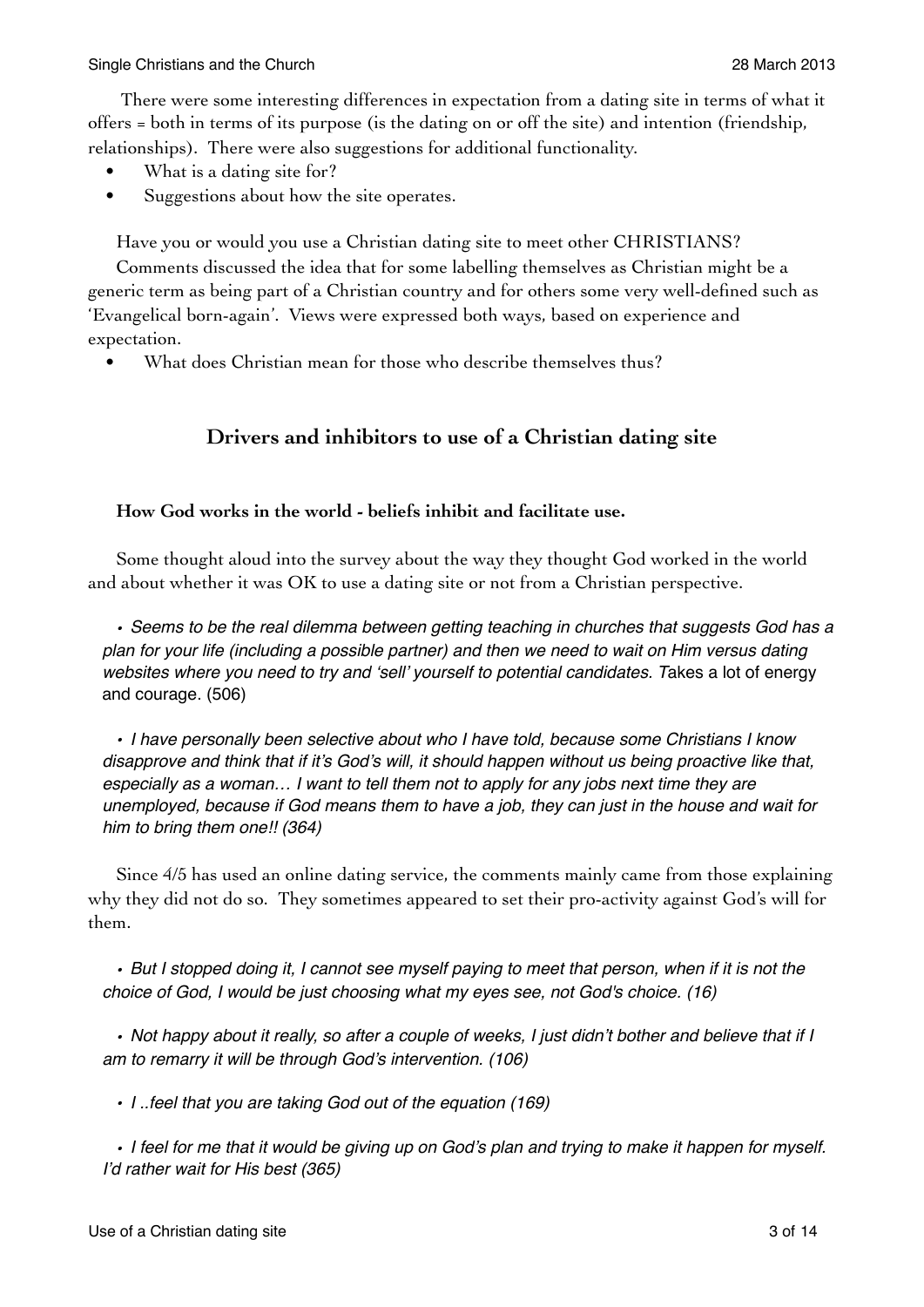There were some interesting differences in expectation from a dating site in terms of what it offers = both in terms of its purpose (is the dating on or off the site) and intention (friendship, relationships). There were also suggestions for additional functionality.

- What is a dating site for?
- Suggestions about how the site operates.

Have you or would you use a Christian dating site to meet other CHRISTIANS?

Comments discussed the idea that for some labelling themselves as Christian might be a generic term as being part of a Christian country and for others some very well-defined such as 'Evangelical born-again'. Views were expressed both ways, based on experience and expectation.

What does Christian mean for those who describe themselves thus?

## **Drivers and inhibitors to use of a Christian dating site**

#### **How God works in the world - beliefs inhibit and facilitate use.**

Some thought aloud into the survey about the way they thought God worked in the world and about whether it was OK to use a dating site or not from a Christian perspective.

*• Seems to be the real dilemma between getting teaching in churches that suggests God has a plan for your life (including a possible partner) and then we need to wait on Him versus dating websites where you need to try and 'sell' yourself to potential candidates. T*akes a lot of energy and courage. (506)

*• I have personally been selective about who I have told, because some Christians I know disapprove and think that if it's God's will, it should happen without us being proactive like that, especially as a woman… I want to tell them not to apply for any jobs next time they are unemployed, because if God means them to have a job, they can just in the house and wait for him to bring them one!! (364)*

Since 4/5 has used an online dating service, the comments mainly came from those explaining why they did not do so. They sometimes appeared to set their pro-activity against God's will for them.

*• But I stopped doing it, I cannot see myself paying to meet that person, when if it is not the choice of God, I would be just choosing what my eyes see, not God's choice. (16)*

*• Not happy about it really, so after a couple of weeks, I just didn't bother and believe that if I am to remarry it will be through God's intervention. (106)*

*• I ..feel that you are taking God out of the equation (169)*

*• I feel for me that it would be giving up on God's plan and trying to make it happen for myself. I'd rather wait for His best (365)*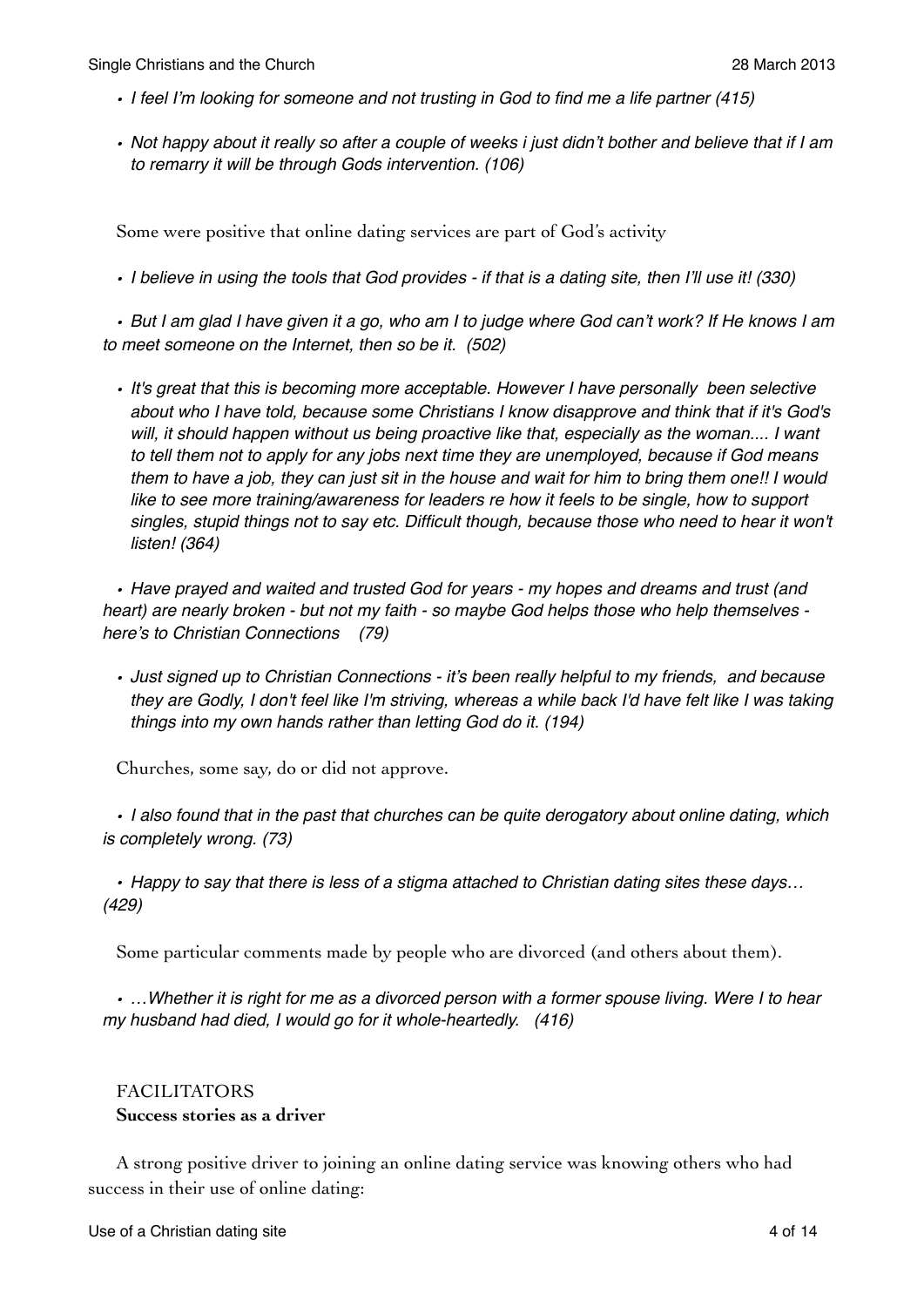- *• I feel I'm looking for someone and not trusting in God to find me a life partner (415)*
- *• Not happy about it really so after a couple of weeks i just didn't bother and believe that if I am to remarry it will be through Gods intervention. (106)*

Some were positive that online dating services are part of God's activity

*• I believe in using the tools that God provides - if that is a dating site, then I'll use it! (330)*

*• But I am glad I have given it a go, who am I to judge where God can't work? If He knows I am to meet someone on the Internet, then so be it. (502)*

*• It's great that this is becoming more acceptable. However I have personally been selective about who I have told, because some Christians I know disapprove and think that if it's God's*  will, it should happen without us being proactive like that, especially as the woman.... I want *to tell them not to apply for any jobs next time they are unemployed, because if God means them to have a job, they can just sit in the house and wait for him to bring them one!! I would*  like to see more training/awareness for leaders re how it feels to be single, how to support *singles, stupid things not to say etc. Difficult though, because those who need to hear it won't listen! (364)*

*• Have prayed and waited and trusted God for years - my hopes and dreams and trust (and heart) are nearly broken - but not my faith - so maybe God helps those who help themselves here's to Christian Connections (79)*

*• Just signed up to Christian Connections - it's been really helpful to my friends, and because they are Godly, I don't feel like I'm striving, whereas a while back I'd have felt like I was taking things into my own hands rather than letting God do it. (194)*

Churches, some say, do or did not approve.

*• I also found that in the past that churches can be quite derogatory about online dating, which is completely wrong. (73)*

*• Happy to say that there is less of a stigma attached to Christian dating sites these days… (429)*

Some particular comments made by people who are divorced (and others about them).

*• …Whether it is right for me as a divorced person with a former spouse living. Were I to hear my husband had died, I would go for it whole-heartedly. (416)*

## FACILITATORS **Success stories as a driver**

A strong positive driver to joining an online dating service was knowing others who had success in their use of online dating: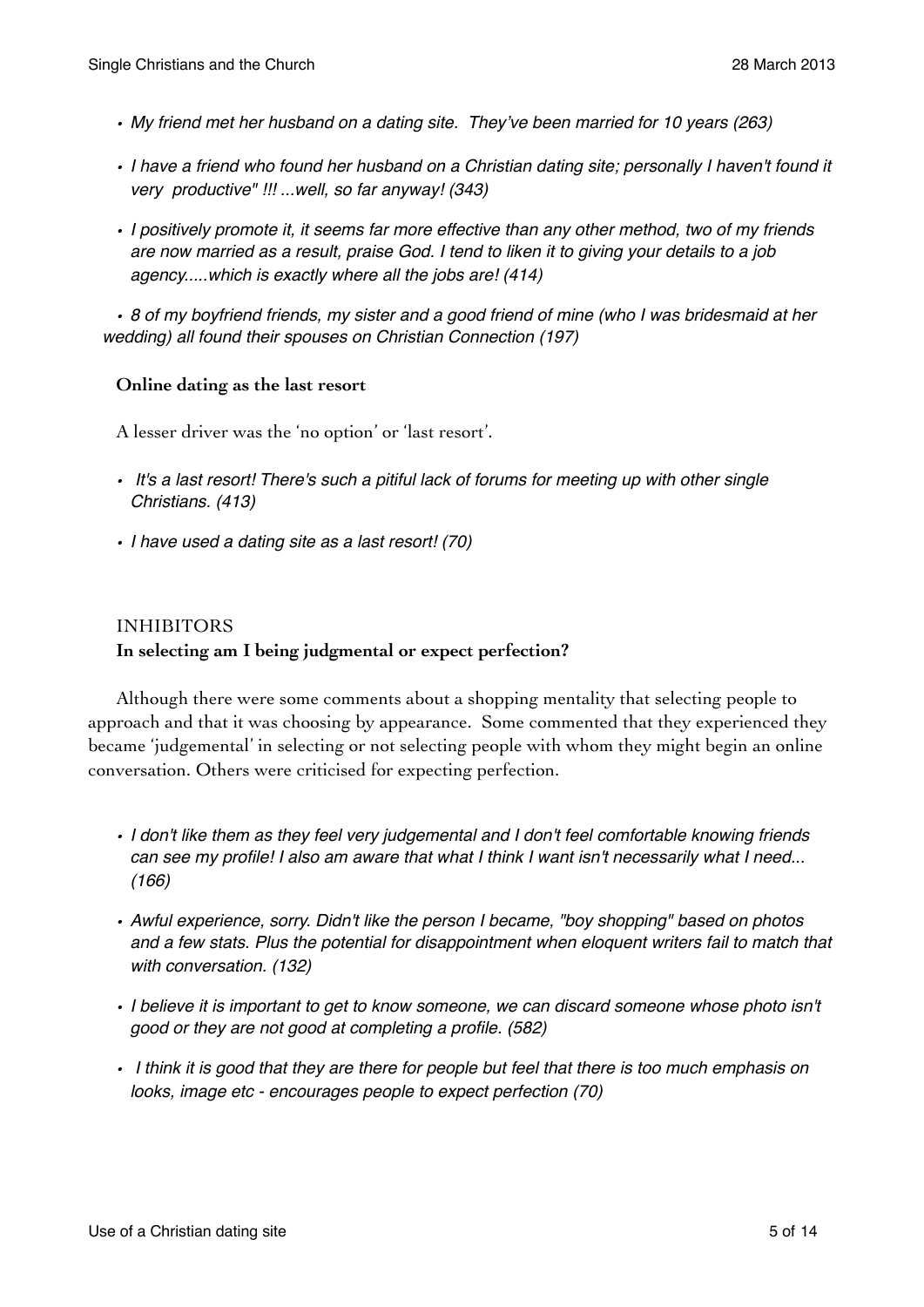- *• My friend met her husband on a dating site. They've been married for 10 years (263)*
- *• I have a friend who found her husband on a Christian dating site; personally I haven't found it very productive" !!! ...well, so far anyway! (343)*
- *• I positively promote it, it seems far more effective than any other method, two of my friends are now married as a result, praise God. I tend to liken it to giving your details to a job agency.....which is exactly where all the jobs are! (414)*

*• 8 of my boyfriend friends, my sister and a good friend of mine (who I was bridesmaid at her wedding) all found their spouses on Christian Connection (197)*

## **Online dating as the last resort**

A lesser driver was the 'no option' or 'last resort'.

- *It's a last resort! There's such a pitiful lack of forums for meeting up with other single Christians. (413)*
- *• I have used a dating site as a last resort! (70)*

## INHIBITORS **In selecting am I being judgmental or expect perfection?**

Although there were some comments about a shopping mentality that selecting people to approach and that it was choosing by appearance. Some commented that they experienced they became 'judgemental' in selecting or not selecting people with whom they might begin an online conversation. Others were criticised for expecting perfection.

- *• I don't like them as they feel very judgemental and I don't feel comfortable knowing friends can see my profile! I also am aware that what I think I want isn't necessarily what I need... (166)*
- *• Awful experience, sorry. Didn't like the person I became, "boy shopping" based on photos and a few stats. Plus the potential for disappointment when eloquent writers fail to match that with conversation. (132)*
- *• I believe it is important to get to know someone, we can discard someone whose photo isn't good or they are not good at completing a profile. (582)*
- *I think it is good that they are there for people but feel that there is too much emphasis on looks, image etc - encourages people to expect perfection (70)*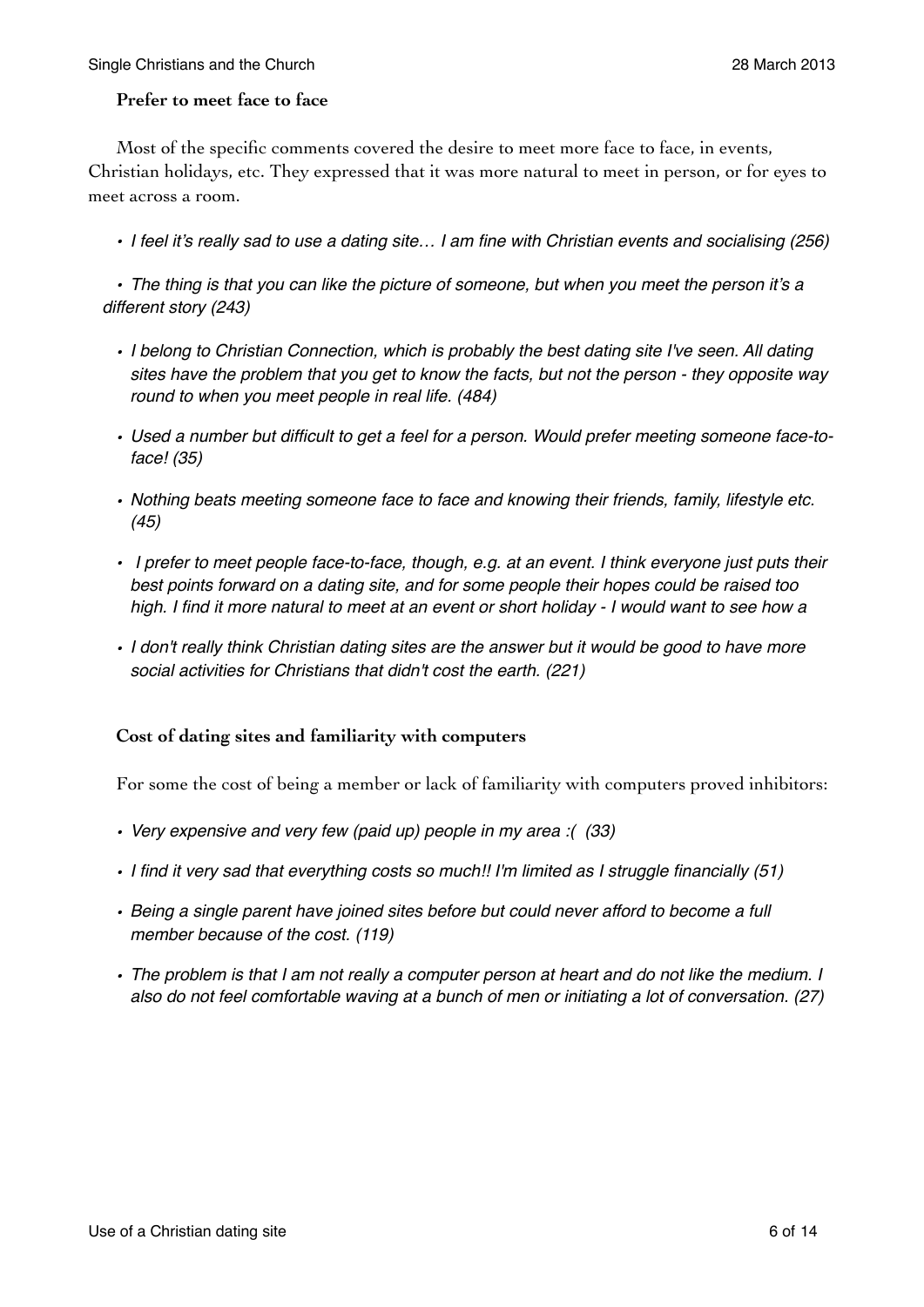#### **Prefer to meet face to face**

Most of the specific comments covered the desire to meet more face to face, in events, Christian holidays, etc. They expressed that it was more natural to meet in person, or for eyes to meet across a room.

*• I feel it's really sad to use a dating site… I am fine with Christian events and socialising (256)*

*• The thing is that you can like the picture of someone, but when you meet the person it's a different story (243)*

- *• I belong to Christian Connection, which is probably the best dating site I've seen. All dating sites have the problem that you get to know the facts, but not the person - they opposite way round to when you meet people in real life. (484)*
- *• Used a number but difficult to get a feel for a person. Would prefer meeting someone face-toface! (35)*
- *• Nothing beats meeting someone face to face and knowing their friends, family, lifestyle etc. (45)*
- *I prefer to meet people face-to-face, though, e.g. at an event. I think everyone just puts their best points forward on a dating site, and for some people their hopes could be raised too high. I find it more natural to meet at an event or short holiday - I would want to see how a*
- *• I don't really think Christian dating sites are the answer but it would be good to have more social activities for Christians that didn't cost the earth. (221)*

#### **Cost of dating sites and familiarity with computers**

For some the cost of being a member or lack of familiarity with computers proved inhibitors:

- *• Very expensive and very few (paid up) people in my area :( (33)*
- *• I find it very sad that everything costs so much!! I'm limited as I struggle financially (51)*
- *• Being a single parent have joined sites before but could never afford to become a full member because of the cost. (119)*
- *• The problem is that I am not really a computer person at heart and do not like the medium. I also do not feel comfortable waving at a bunch of men or initiating a lot of conversation. (27)*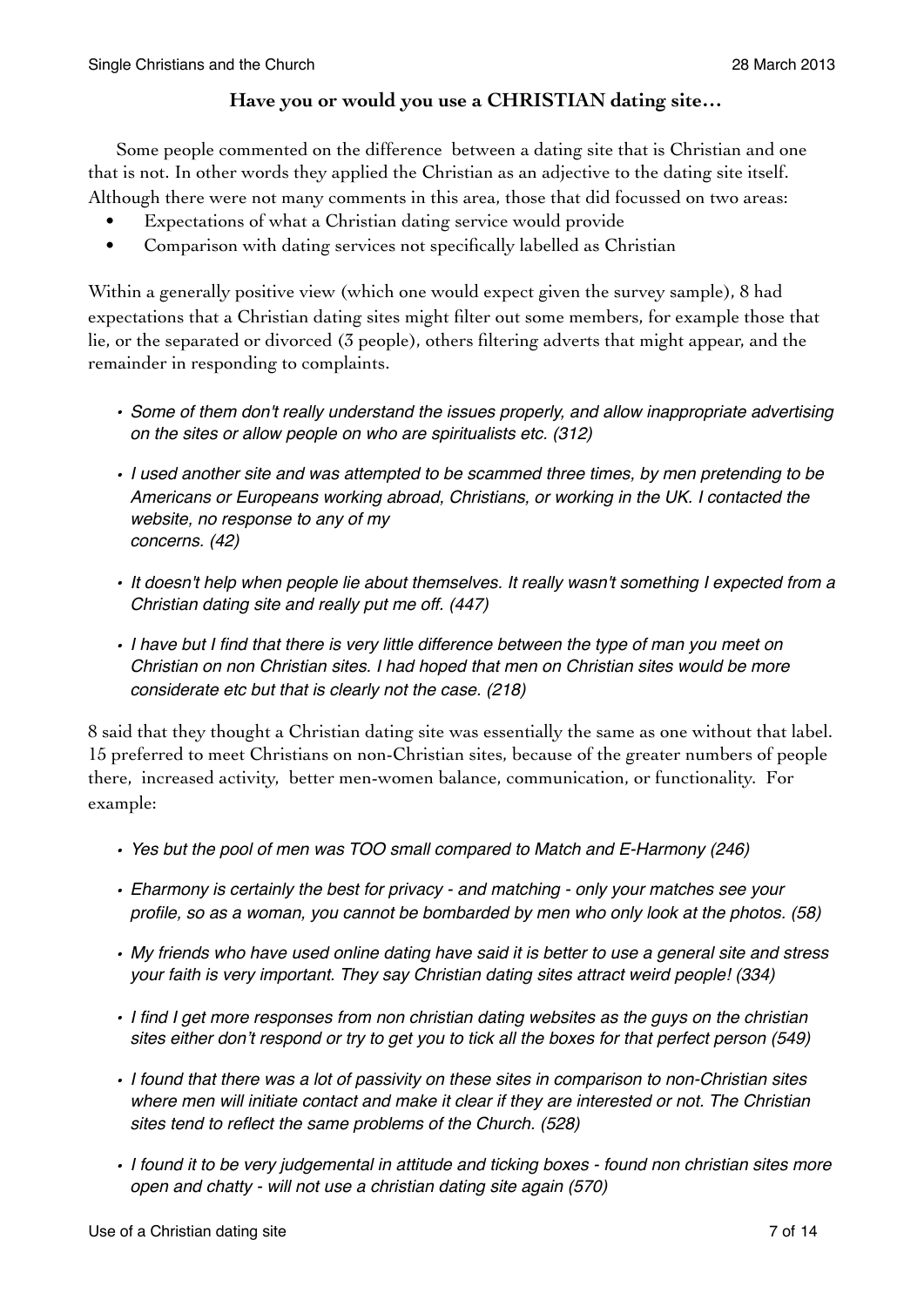## **Have you or would you use a CHRISTIAN dating site…**

Some people commented on the difference between a dating site that is Christian and one that is not. In other words they applied the Christian as an adjective to the dating site itself. Although there were not many comments in this area, those that did focussed on two areas:

- Expectations of what a Christian dating service would provide
- Comparison with dating services not specifically labelled as Christian

Within a generally positive view (which one would expect given the survey sample), 8 had expectations that a Christian dating sites might filter out some members, for example those that lie, or the separated or divorced (3 people), others filtering adverts that might appear, and the remainder in responding to complaints.

- *• Some of them don't really understand the issues properly, and allow inappropriate advertising on the sites or allow people on who are spiritualists etc. (312)*
- *• I used another site and was attempted to be scammed three times, by men pretending to be Americans or Europeans working abroad, Christians, or working in the UK. I contacted the website, no response to any of my concerns. (42)*
- *• It doesn't help when people lie about themselves. It really wasn't something I expected from a Christian dating site and really put me off. (447)*
- *• I have but I find that there is very little difference between the type of man you meet on Christian on non Christian sites. I had hoped that men on Christian sites would be more considerate etc but that is clearly not the case. (218)*

8 said that they thought a Christian dating site was essentially the same as one without that label. 15 preferred to meet Christians on non-Christian sites, because of the greater numbers of people there, increased activity, better men-women balance, communication, or functionality. For example:

- *• Yes but the pool of men was TOO small compared to Match and E-Harmony (246)*
- *• Eharmony is certainly the best for privacy and matching only your matches see your profile, so as a woman, you cannot be bombarded by men who only look at the photos. (58)*
- *• My friends who have used online dating have said it is better to use a general site and stress your faith is very important. They say Christian dating sites attract weird people! (334)*
- *• I find I get more responses from non christian dating websites as the guys on the christian sites either don't respond or try to get you to tick all the boxes for that perfect person (549)*
- *• I found that there was a lot of passivity on these sites in comparison to non-Christian sites where men will initiate contact and make it clear if they are interested or not. The Christian sites tend to reflect the same problems of the Church. (528)*
- *• I found it to be very judgemental in attitude and ticking boxes found non christian sites more open and chatty - will not use a christian dating site again (570)*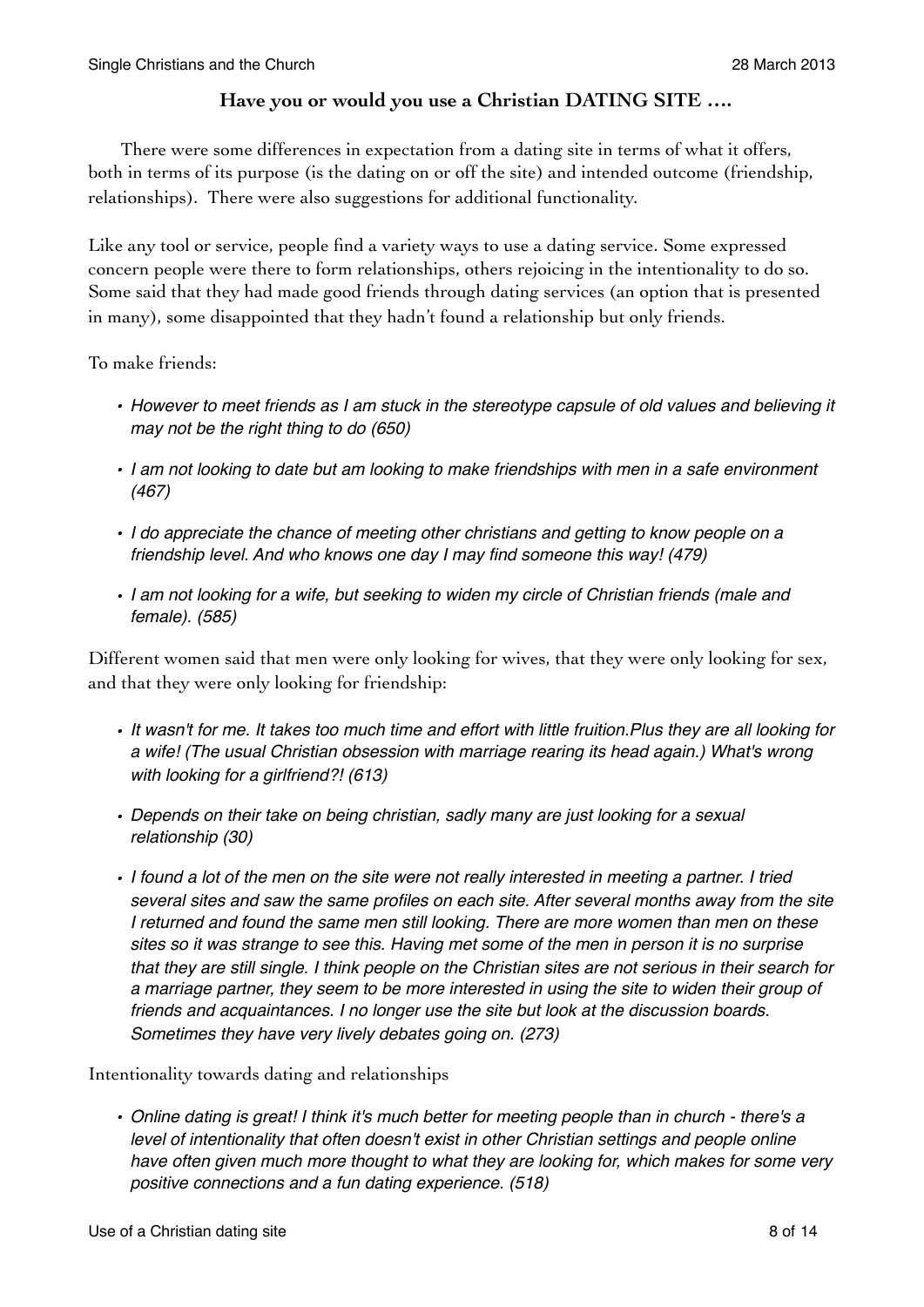## **Have you or would you use a Christian DATING SITE ….**

 There were some differences in expectation from a dating site in terms of what it offers, both in terms of its purpose (is the dating on or off the site) and intended outcome (friendship, relationships). There were also suggestions for additional functionality.

Like any tool or service, people find a variety ways to use a dating service. Some expressed concern people were there to form relationships, others rejoicing in the intentionality to do so. Some said that they had made good friends through dating services (an option that is presented in many), some disappointed that they hadn't found a relationship but only friends.

To make friends:

- *• However to meet friends as I am stuck in the stereotype capsule of old values and believing it may not be the right thing to do (650)*
- *• I am not looking to date but am looking to make friendships with men in a safe environment (467)*
- *• I do appreciate the chance of meeting other christians and getting to know people on a friendship level. And who knows one day I may find someone this way! (479)*
- *• I am not looking for a wife, but seeking to widen my circle of Christian friends (male and female). (585)*

Different women said that men were only looking for wives, that they were only looking for sex, and that they were only looking for friendship:

- *• It wasn't for me. It takes too much time and effort with little fruition.Plus they are all looking for a wife! (The usual Christian obsession with marriage rearing its head again.) What's wrong with looking for a girlfriend?! (613)*
- *• Depends on their take on being christian, sadly many are just looking for a sexual relationship (30)*
- *• I found a lot of the men on the site were not really interested in meeting a partner. I tried several sites and saw the same profiles on each site. After several months away from the site I returned and found the same men still looking. There are more women than men on these sites so it was strange to see this. Having met some of the men in person it is no surprise that they are still single. I think people on the Christian sites are not serious in their search for a marriage partner, they seem to be more interested in using the site to widen their group of friends and acquaintances. I no longer use the site but look at the discussion boards. Sometimes they have very lively debates going on. (273)*

Intentionality towards dating and relationships

*• Online dating is great! I think it's much better for meeting people than in church - there's a level of intentionality that often doesn't exist in other Christian settings and people online have often given much more thought to what they are looking for, which makes for some very positive connections and a fun dating experience. (518)*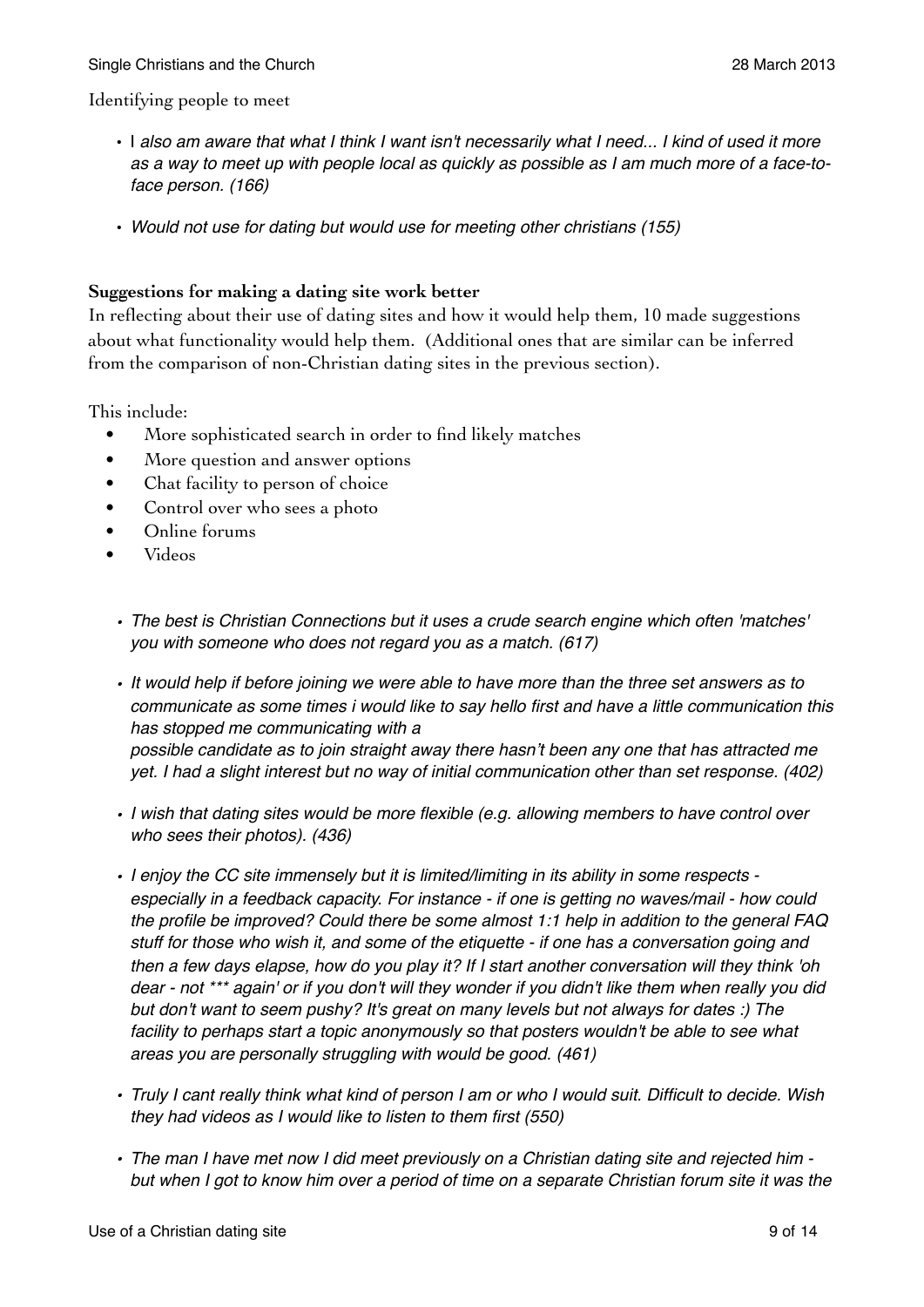Identifying people to meet

- I *also am aware that what I think I want isn't necessarily what I need... I kind of used it more as a way to meet up with people local as quickly as possible as I am much more of a face-toface person. (166)*
- *Would not use for dating but would use for meeting other christians (155)*

#### **Suggestions for making a dating site work better**

In reflecting about their use of dating sites and how it would help them, 10 made suggestions about what functionality would help them. (Additional ones that are similar can be inferred from the comparison of non-Christian dating sites in the previous section).

This include:

- More sophisticated search in order to find likely matches
- More question and answer options
- Chat facility to person of choice
- Control over who sees a photo
- Online forums
- Videos
- *• The best is Christian Connections but it uses a crude search engine which often 'matches' you with someone who does not regard you as a match. (617)*
- *• It would help if before joining we were able to have more than the three set answers as to communicate as some times i would like to say hello first and have a little communication this has stopped me communicating with a possible candidate as to join straight away there hasn't been any one that has attracted me yet. I had a slight interest but no way of initial communication other than set response. (402)*
- *• I wish that dating sites would be more flexible (e.g. allowing members to have control over who sees their photos). (436)*
- *• I enjoy the CC site immensely but it is limited/limiting in its ability in some respects especially in a feedback capacity. For instance - if one is getting no waves/mail - how could the profile be improved? Could there be some almost 1:1 help in addition to the general FAQ stuff for those who wish it, and some of the etiquette - if one has a conversation going and then a few days elapse, how do you play it? If I start another conversation will they think 'oh dear - not \*\*\* again' or if you don't will they wonder if you didn't like them when really you did but don't want to seem pushy? It's great on many levels but not always for dates :) The*  facility to perhaps start a topic anonymously so that posters wouldn't be able to see what *areas you are personally struggling with would be good. (461)*
- *• Truly I cant really think what kind of person I am or who I would suit. Difficult to decide. Wish they had videos as I would like to listen to them first (550)*
- *• The man I have met now I did meet previously on a Christian dating site and rejected him but when I got to know him over a period of time on a separate Christian forum site it was the*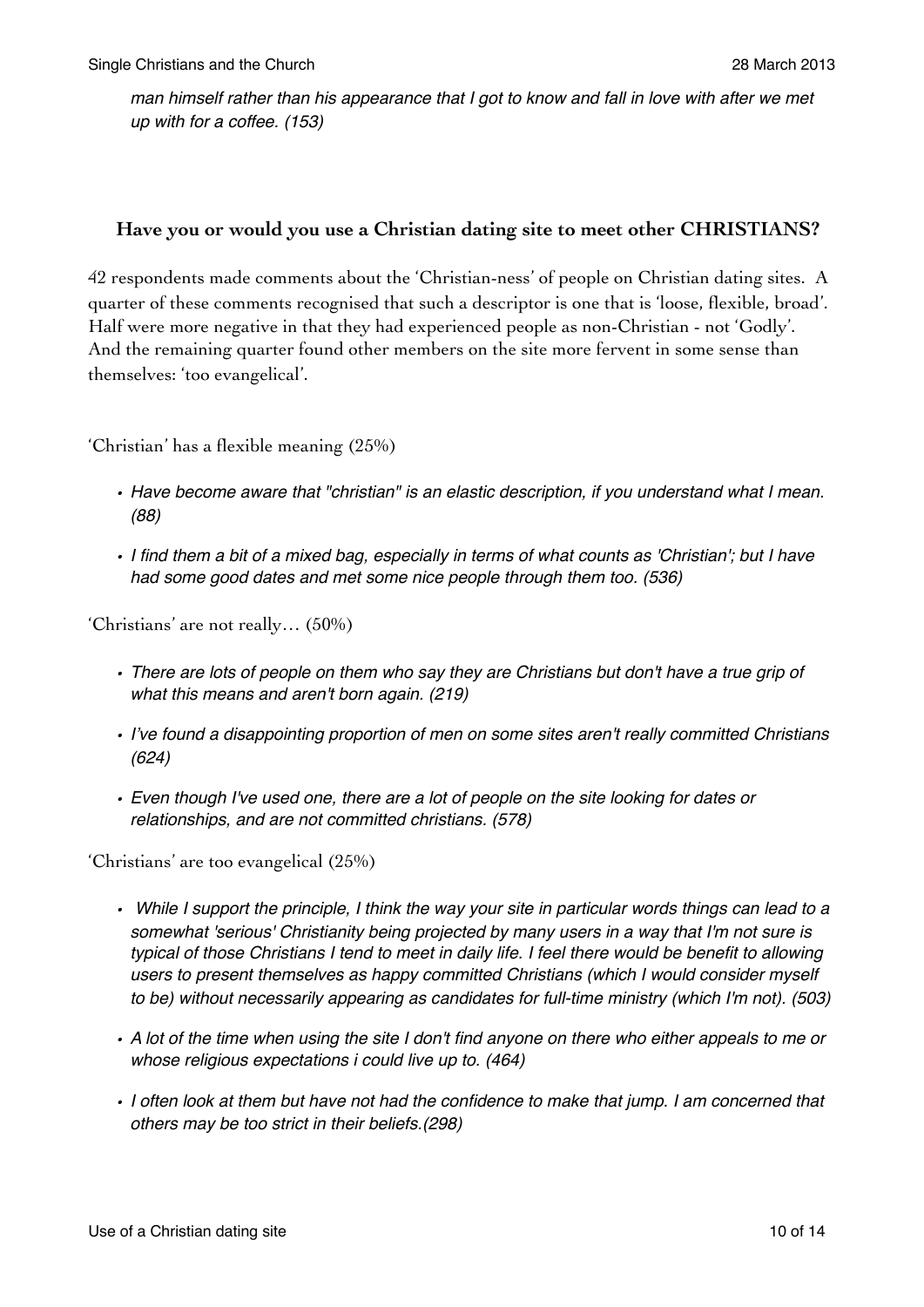*man himself rather than his appearance that I got to know and fall in love with after we met up with for a coffee. (153)*

## **Have you or would you use a Christian dating site to meet other CHRISTIANS?**

42 respondents made comments about the 'Christian-ness' of people on Christian dating sites. A quarter of these comments recognised that such a descriptor is one that is 'loose, flexible, broad'. Half were more negative in that they had experienced people as non-Christian - not 'Godly'. And the remaining quarter found other members on the site more fervent in some sense than themselves: 'too evangelical'.

'Christian' has a flexible meaning (25%)

- *• Have become aware that "christian" is an elastic description, if you understand what I mean. (88)*
- *• I find them a bit of a mixed bag, especially in terms of what counts as 'Christian'; but I have had some good dates and met some nice people through them too. (536)*

'Christians' are not really… (50%)

- *• There are lots of people on them who say they are Christians but don't have a true grip of what this means and aren't born again. (219)*
- *• I've found a disappointing proportion of men on some sites aren't really committed Christians (624)*
- *• Even though I've used one, there are a lot of people on the site looking for dates or relationships, and are not committed christians. (578)*

'Christians' are too evangelical (25%)

- *While I support the principle, I think the way your site in particular words things can lead to a somewhat 'serious' Christianity being projected by many users in a way that I'm not sure is typical of those Christians I tend to meet in daily life. I feel there would be benefit to allowing users to present themselves as happy committed Christians (which I would consider myself to be) without necessarily appearing as candidates for full-time ministry (which I'm not). (503)*
- *• A lot of the time when using the site I don't find anyone on there who either appeals to me or whose religious expectations i could live up to. (464)*
- *• I often look at them but have not had the confidence to make that jump. I am concerned that others may be too strict in their beliefs.(298)*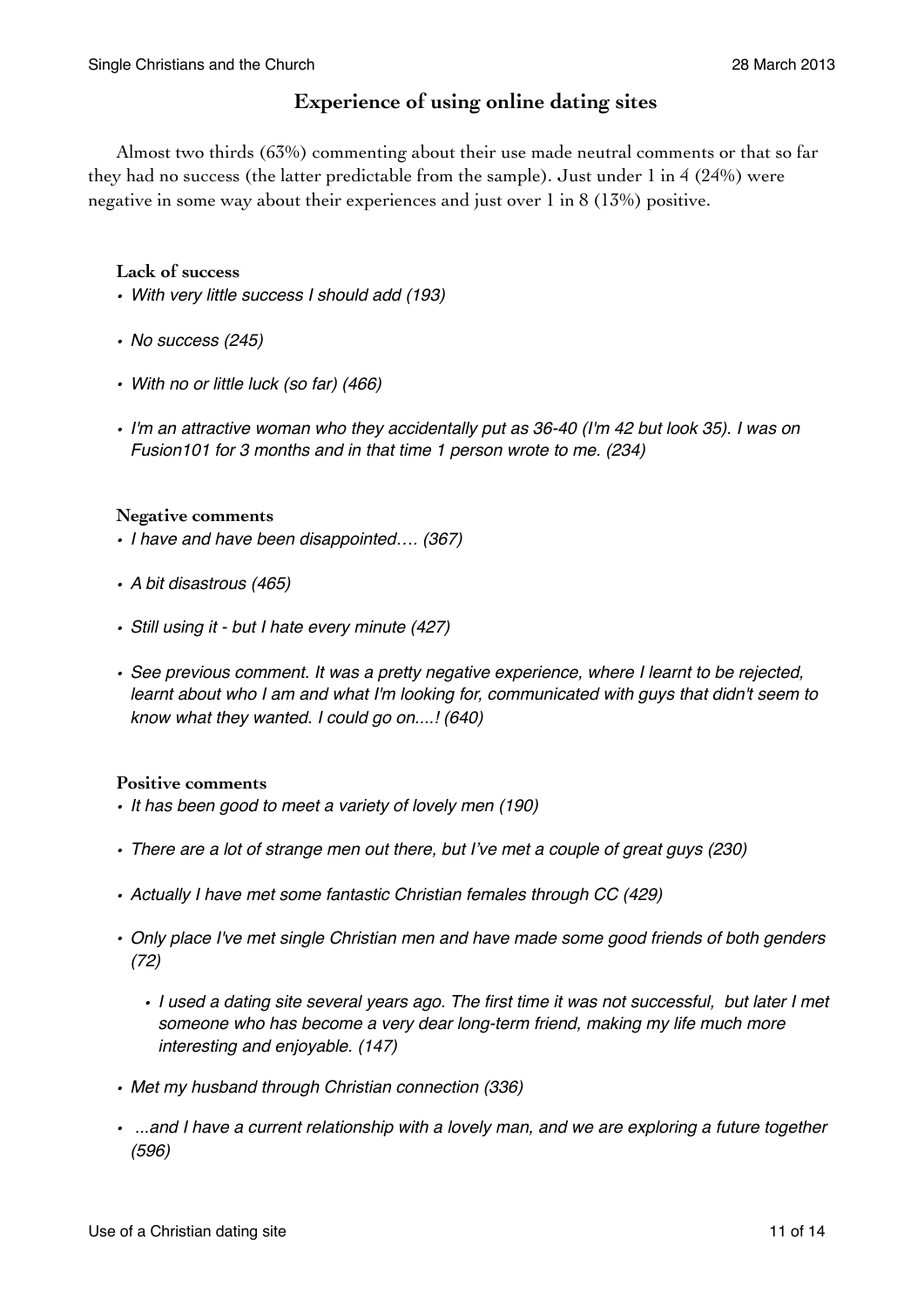## **Experience of using online dating sites**

Almost two thirds (63%) commenting about their use made neutral comments or that so far they had no success (the latter predictable from the sample). Just under 1 in 4 (24%) were negative in some way about their experiences and just over 1 in 8 (13%) positive.

#### **Lack of success**

- *• With very little success I should add (193)*
- *• No success (245)*
- *• With no or little luck (so far) (466)*
- *• I'm an attractive woman who they accidentally put as 36-40 (I'm 42 but look 35). I was on Fusion101 for 3 months and in that time 1 person wrote to me. (234)*

#### **Negative comments**

- *• I have and have been disappointed…. (367)*
- *• A bit disastrous (465)*
- *• Still using it but I hate every minute (427)*
- *• See previous comment. It was a pretty negative experience, where I learnt to be rejected, learnt about who I am and what I'm looking for, communicated with guys that didn't seem to know what they wanted. I could go on....! (640)*

#### **Positive comments**

- *• It has been good to meet a variety of lovely men (190)*
- *• There are a lot of strange men out there, but I've met a couple of great guys (230)*
- *• Actually I have met some fantastic Christian females through CC (429)*
- *• Only place I've met single Christian men and have made some good friends of both genders (72)*
	- *• I used a dating site several years ago. The first time it was not successful, but later I met someone who has become a very dear long-term friend, making my life much more interesting and enjoyable. (147)*
- *• Met my husband through Christian connection (336)*
- *...and I have a current relationship with a lovely man, and we are exploring a future together (596)*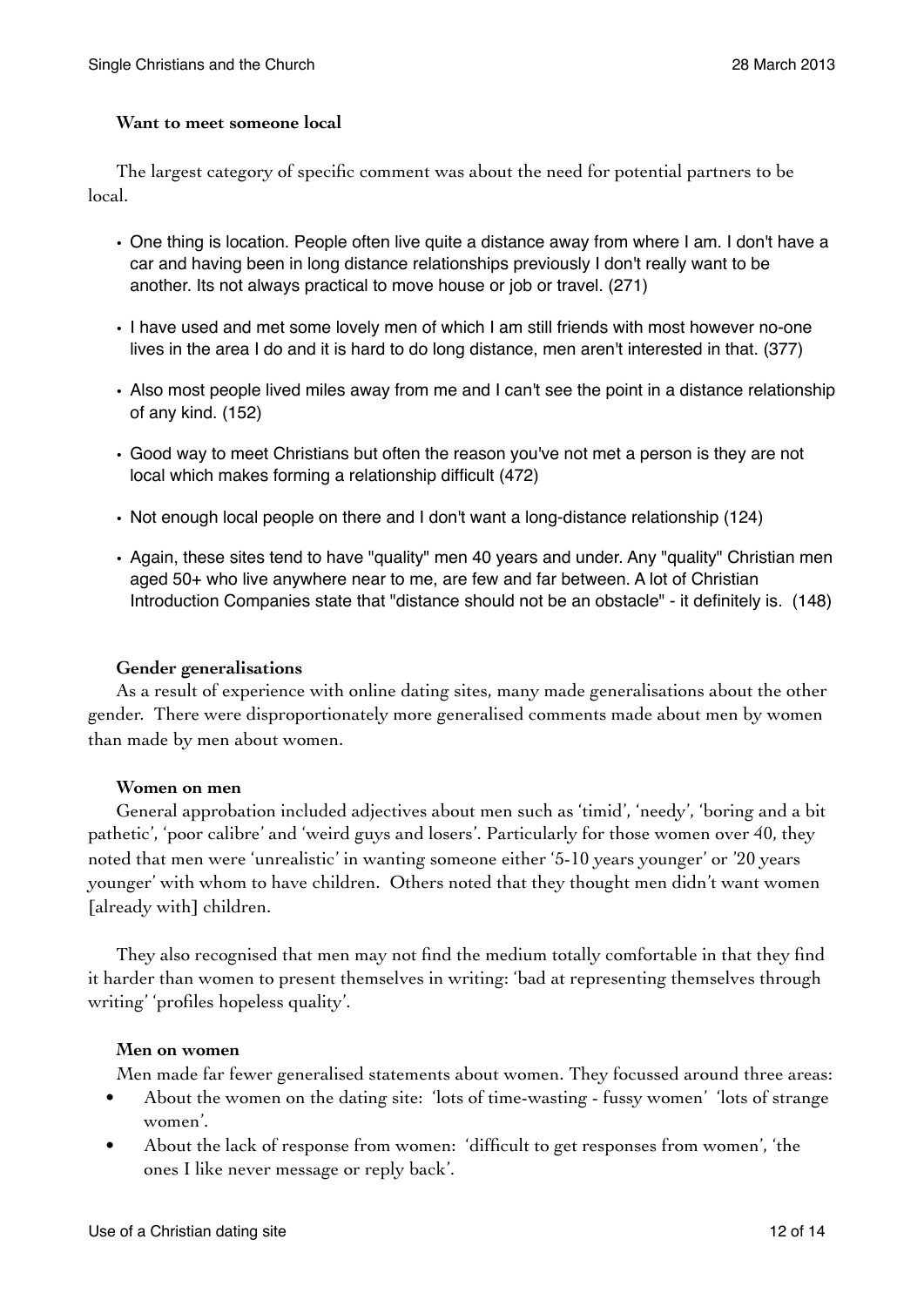#### **Want to meet someone local**

The largest category of specific comment was about the need for potential partners to be local.

- One thing is location. People often live quite a distance away from where I am. I don't have a car and having been in long distance relationships previously I don't really want to be another. Its not always practical to move house or job or travel. (271)
- I have used and met some lovely men of which I am still friends with most however no-one lives in the area I do and it is hard to do long distance, men aren't interested in that. (377)
- Also most people lived miles away from me and I can't see the point in a distance relationship of any kind. (152)
- Good way to meet Christians but often the reason you've not met a person is they are not local which makes forming a relationship difficult (472)
- Not enough local people on there and I don't want a long-distance relationship (124)
- Again, these sites tend to have "quality" men 40 years and under. Any "quality" Christian men aged 50+ who live anywhere near to me, are few and far between. A lot of Christian Introduction Companies state that "distance should not be an obstacle" - it definitely is. (148)

#### **Gender generalisations**

As a result of experience with online dating sites, many made generalisations about the other gender. There were disproportionately more generalised comments made about men by women than made by men about women.

#### **Women on men**

General approbation included adjectives about men such as 'timid', 'needy', 'boring and a bit pathetic', 'poor calibre' and 'weird guys and losers'. Particularly for those women over 40, they noted that men were 'unrealistic' in wanting someone either '5-10 years younger' or '20 years younger' with whom to have children. Others noted that they thought men didn't want women [already with] children.

They also recognised that men may not find the medium totally comfortable in that they find it harder than women to present themselves in writing: 'bad at representing themselves through writing' 'profiles hopeless quality'.

## **Men on women**

Men made far fewer generalised statements about women. They focussed around three areas:

- About the women on the dating site: 'lots of time-wasting fussy women' 'lots of strange women'.
- About the lack of response from women: 'difficult to get responses from women', 'the ones I like never message or reply back'.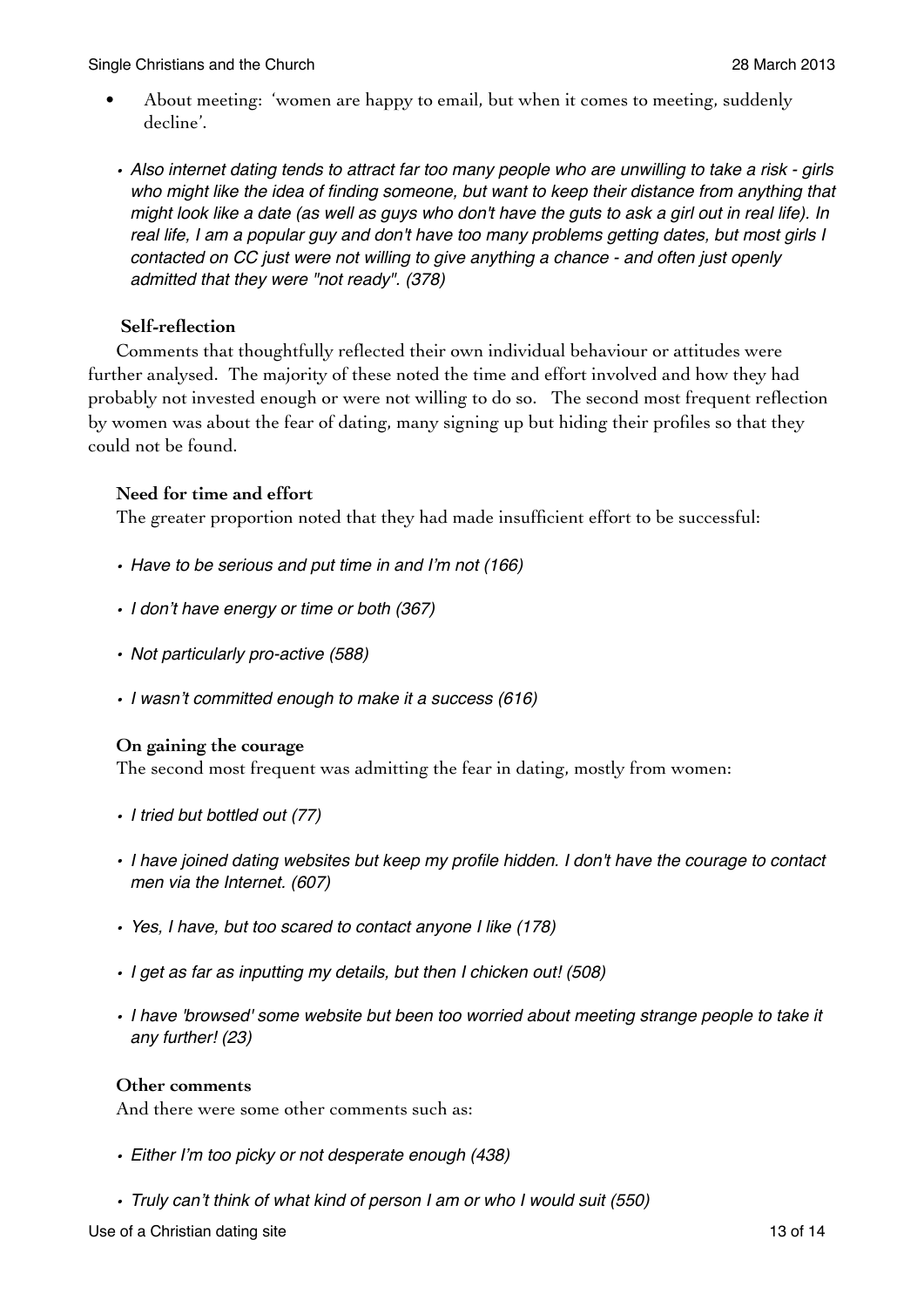- About meeting: 'women are happy to email, but when it comes to meeting, suddenly decline'.
- *• Also internet dating tends to attract far too many people who are unwilling to take a risk girls who might like the idea of finding someone, but want to keep their distance from anything that might look like a date (as well as guys who don't have the guts to ask a girl out in real life). In real life, I am a popular guy and don't have too many problems getting dates, but most girls I contacted on CC just were not willing to give anything a chance - and often just openly admitted that they were "not ready". (378)*

## **Self-reflection**

Comments that thoughtfully reflected their own individual behaviour or attitudes were further analysed. The majority of these noted the time and effort involved and how they had probably not invested enough or were not willing to do so. The second most frequent reflection by women was about the fear of dating, many signing up but hiding their profiles so that they could not be found.

## **Need for time and effort**

The greater proportion noted that they had made insufficient effort to be successful:

- *• Have to be serious and put time in and I'm not (166)*
- *• I don't have energy or time or both (367)*
- *• Not particularly pro-active (588)*
- *• I wasn't committed enough to make it a success (616)*

## **On gaining the courage**

The second most frequent was admitting the fear in dating, mostly from women:

- *• I tried but bottled out (77)*
- *• I have joined dating websites but keep my profile hidden. I don't have the courage to contact men via the Internet. (607)*
- *• Yes, I have, but too scared to contact anyone I like (178)*
- *• I get as far as inputting my details, but then I chicken out! (508)*
- I have 'browsed' some website but been too worried about meeting strange people to take it *any further! (23)*

#### **Other comments**

And there were some other comments such as:

- *• Either I'm too picky or not desperate enough (438)*
- *• Truly can't think of what kind of person I am or who I would suit (550)*